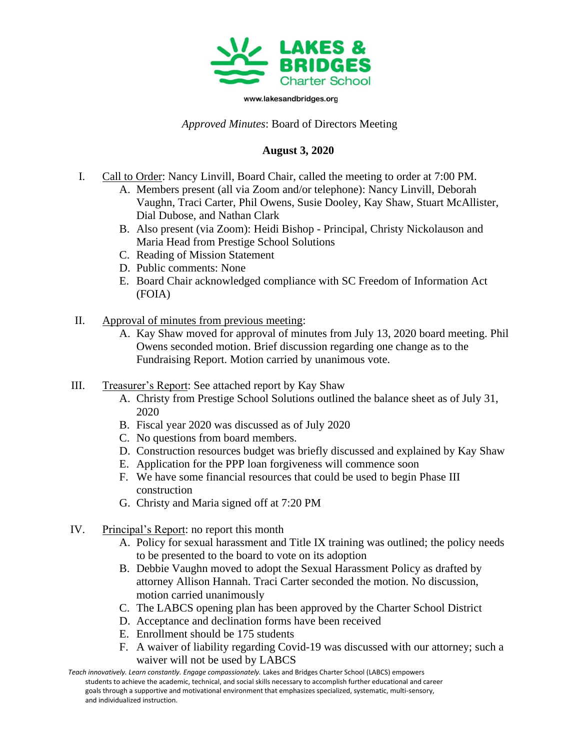

www.lakesandbridges.org

## *Approved Minutes*: Board of Directors Meeting

## **August 3, 2020**

- I. Call to Order: Nancy Linvill, Board Chair, called the meeting to order at 7:00 PM.
	- A. Members present (all via Zoom and/or telephone): Nancy Linvill, Deborah Vaughn, Traci Carter, Phil Owens, Susie Dooley, Kay Shaw, Stuart McAllister, Dial Dubose, and Nathan Clark
	- B. Also present (via Zoom): Heidi Bishop Principal, Christy Nickolauson and Maria Head from Prestige School Solutions
	- C. Reading of Mission Statement
	- D. Public comments: None
	- E. Board Chair acknowledged compliance with SC Freedom of Information Act (FOIA)
- II. Approval of minutes from previous meeting:
	- A. Kay Shaw moved for approval of minutes from July 13, 2020 board meeting. Phil Owens seconded motion. Brief discussion regarding one change as to the Fundraising Report. Motion carried by unanimous vote.
- III. Treasurer's Report: See attached report by Kay Shaw
	- A. Christy from Prestige School Solutions outlined the balance sheet as of July 31, 2020
	- B. Fiscal year 2020 was discussed as of July 2020
	- C. No questions from board members.
	- D. Construction resources budget was briefly discussed and explained by Kay Shaw
	- E. Application for the PPP loan forgiveness will commence soon
	- F. We have some financial resources that could be used to begin Phase III construction
	- G. Christy and Maria signed off at 7:20 PM
- IV. Principal's Report: no report this month
	- A. Policy for sexual harassment and Title IX training was outlined; the policy needs to be presented to the board to vote on its adoption
	- B. Debbie Vaughn moved to adopt the Sexual Harassment Policy as drafted by attorney Allison Hannah. Traci Carter seconded the motion. No discussion, motion carried unanimously
	- C. The LABCS opening plan has been approved by the Charter School District
	- D. Acceptance and declination forms have been received
	- E. Enrollment should be 175 students
	- F. A waiver of liability regarding Covid-19 was discussed with our attorney; such a waiver will not be used by LABCS

*Teach innovatively. Learn constantly. Engage compassionately.* Lakes and Bridges Charter School (LABCS) empowers students to achieve the academic, technical, and social skills necessary to accomplish further educational and career goals through a supportive and motivational environment that emphasizes specialized, systematic, multi-sensory, and individualized instruction.